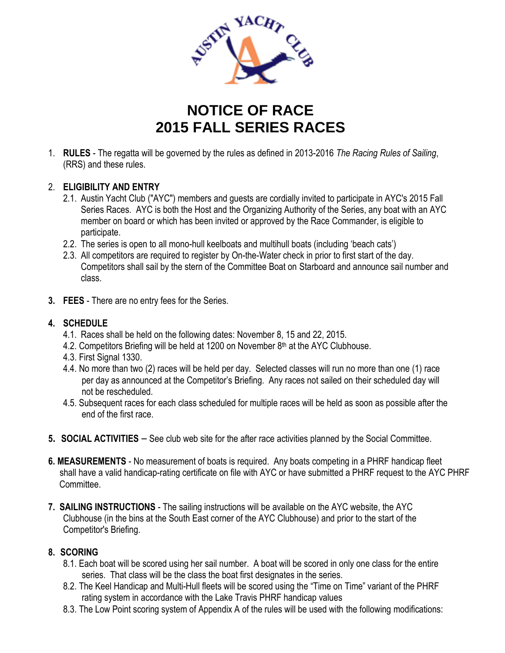

## **NOTICE OF RACE 2015 FALL SERIES RACES**

1. **RULES** - The regatta will be governed by the rules as defined in 2013-2016 *The Racing Rules of Sailing*, (RRS) and these rules.

## 2. **ELIGIBILITY AND ENTRY**

- 2.1. Austin Yacht Club ("AYC") members and guests are cordially invited to participate in AYC's 2015 Fall Series Races. AYC is both the Host and the Organizing Authority of the Series, any boat with an AYC member on board or which has been invited or approved by the Race Commander, is eligible to participate.
- 2.2. The series is open to all mono-hull keelboats and multihull boats (including 'beach cats')
- 2.3. All competitors are required to register by On-the-Water check in prior to first start of the day. Competitors shall sail by the stern of the Committee Boat on Starboard and announce sail number and class.
- **3. FEES** There are no entry fees for the Series.

## **4. SCHEDULE**

- 4.1. Races shall be held on the following dates: November 8, 15 and 22, 2015.
- 4.2. Competitors Briefing will be held at 1200 on November 8<sup>th</sup> at the AYC Clubhouse.
- 4.3. First Signal 1330.
- 4.4. No more than two (2) races will be held per day. Selected classes will run no more than one (1) race per day as announced at the Competitor's Briefing. Any races not sailed on their scheduled day will not be rescheduled.
- 4.5. Subsequent races for each class scheduled for multiple races will be held as soon as possible after the end of the first race.
- **5. SOCIAL ACTIVITIES** See club web site for the after race activities planned by the Social Committee.
- **6. MEASUREMENTS** No measurement of boats is required. Any boats competing in a PHRF handicap fleet shall have a valid handicap-rating certificate on file with AYC or have submitted a PHRF request to the AYC PHRF Committee.
- **7. SAILING INSTRUCTIONS** The sailing instructions will be available on the AYC website, the AYC Clubhouse (in the bins at the South East corner of the AYC Clubhouse) and prior to the start of the Competitor's Briefing.

## **8. SCORING**

- 8.1. Each boat will be scored using her sail number. A boat will be scored in only one class for the entire series. That class will be the class the boat first designates in the series.
- 8.2. The Keel Handicap and Multi-Hull fleets will be scored using the "Time on Time" variant of the PHRF rating system in accordance with the Lake Travis PHRF handicap values
- 8.3. The Low Point scoring system of Appendix A of the rules will be used with the following modifications: